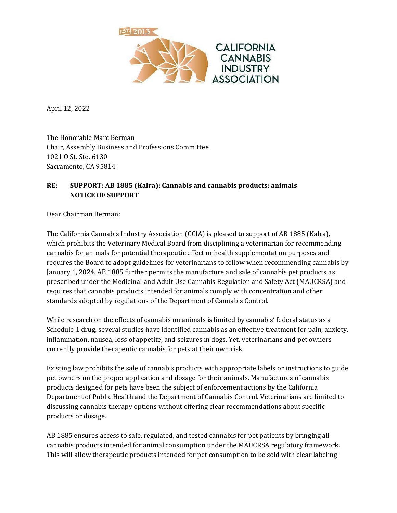

April 12, 2022

The Honorable Marc Berman Chair, Assembly Business and Professions Committee 1021 O St. Ste. 6130 Sacramento, CA 95814

## **RE: SUPPORT: AB 1885 (Kalra): Cannabis and cannabis products: animals NOTICE OF SUPPORT**

Dear Chairman Berman:

The California Cannabis Industry Association (CCIA) is pleased to support of AB 1885 (Kalra), which prohibits the Veterinary Medical Board from disciplining a veterinarian for recommending cannabis for animals for potential therapeutic effect or health supplementation purposes and requires the Board to adopt guidelines for veterinarians to follow when recommending cannabis by January 1, 2024. AB 1885 further permits the manufacture and sale of cannabis pet products as prescribed under the Medicinal and Adult Use Cannabis Regulation and Safety Act (MAUCRSA) and requires that cannabis products intended for animals comply with concentration and other standards adopted by regulations of the Department of Cannabis Control.

While research on the effects of cannabis on animals is limited by cannabis' federal status as a Schedule 1 drug, several studies have identified cannabis as an effective treatment for pain, anxiety, inflammation, nausea, loss of appetite, and seizures in dogs. Yet, veterinarians and pet owners currently provide therapeutic cannabis for pets at their own risk.

Existing law prohibits the sale of cannabis products with appropriate labels or instructions to guide pet owners on the proper application and dosage for their animals. Manufactures of cannabis products designed for pets have been the subject of enforcement actions by the California Department of Public Health and the Department of Cannabis Control. Veterinarians are limited to discussing cannabis therapy options without offering clear recommendations about specific products or dosage.

AB 1885 ensures access to safe, regulated, and tested cannabis for pet patients by bringing all cannabis products intended for animal consumption under the MAUCRSA regulatory framework. This will allow therapeutic products intended for pet consumption to be sold with clear labeling